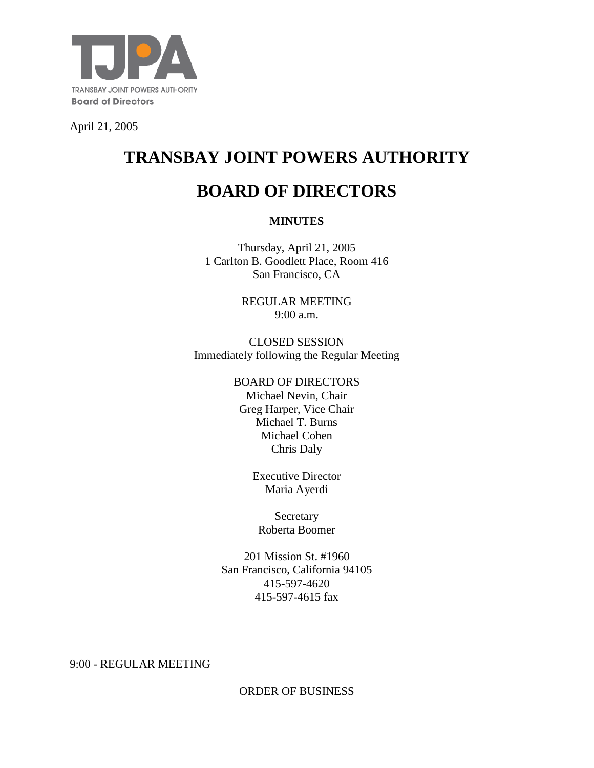

April 21, 2005

# **TRANSBAY JOINT POWERS AUTHORITY**

## **BOARD OF DIRECTORS**

## **MINUTES**

Thursday, April 21, 2005 1 Carlton B. Goodlett Place, Room 416 San Francisco, CA

> REGULAR MEETING 9:00 a.m.

CLOSED SESSION Immediately following the Regular Meeting

#### BOARD OF DIRECTORS

Michael Nevin, Chair Greg Harper, Vice Chair Michael T. Burns Michael Cohen Chris Daly

> Executive Director Maria Ayerdi

Secretary Roberta Boomer

201 Mission St. #1960 San Francisco, California 94105 415-597-4620 415-597-4615 fax

9:00 - REGULAR MEETING

ORDER OF BUSINESS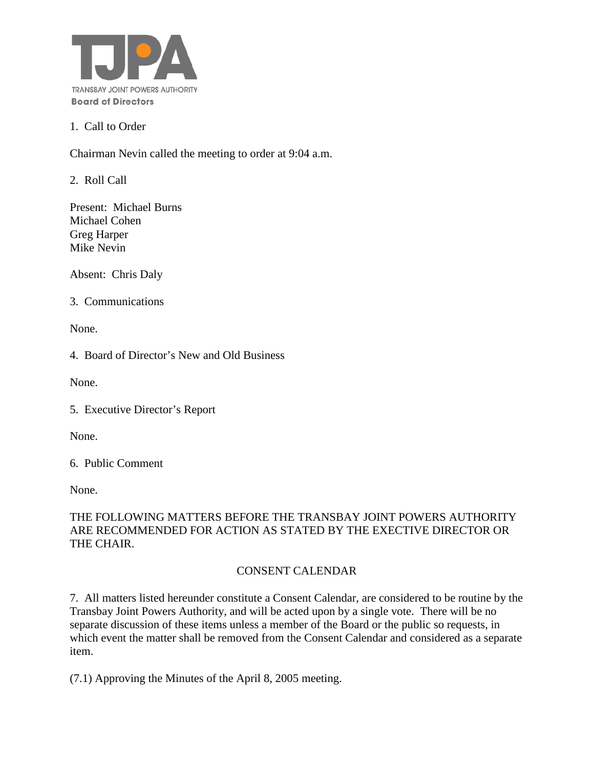

#### 1. Call to Order

Chairman Nevin called the meeting to order at 9:04 a.m.

2. Roll Call

Present: Michael Burns Michael Cohen Greg Harper Mike Nevin

Absent: Chris Daly

3. Communications

None.

4. Board of Director's New and Old Business

None.

5. Executive Director's Report

None.

6. Public Comment

None.

## THE FOLLOWING MATTERS BEFORE THE TRANSBAY JOINT POWERS AUTHORITY ARE RECOMMENDED FOR ACTION AS STATED BY THE EXECTIVE DIRECTOR OR THE CHAIR.

## CONSENT CALENDAR

7. All matters listed hereunder constitute a Consent Calendar, are considered to be routine by the Transbay Joint Powers Authority, and will be acted upon by a single vote. There will be no separate discussion of these items unless a member of the Board or the public so requests, in which event the matter shall be removed from the Consent Calendar and considered as a separate item.

(7.1) Approving the Minutes of the April 8, 2005 meeting.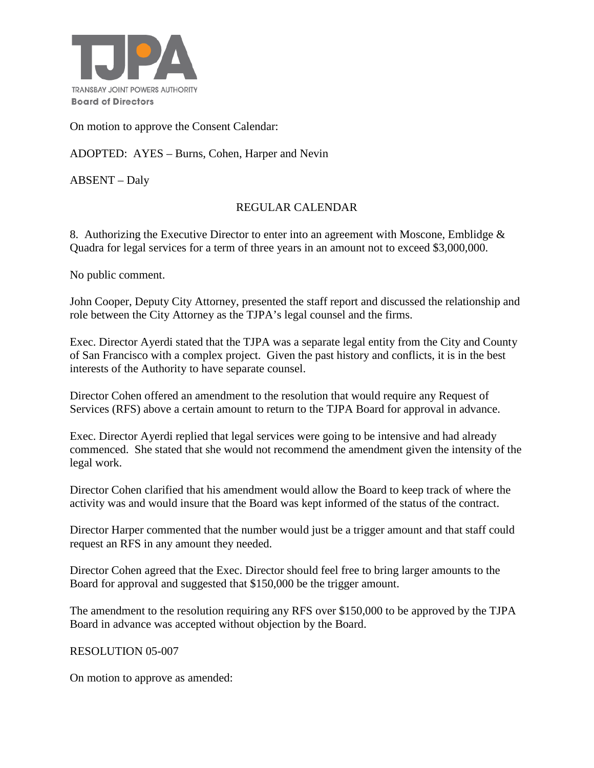

On motion to approve the Consent Calendar:

ADOPTED: AYES – Burns, Cohen, Harper and Nevin

ABSENT – Daly

## REGULAR CALENDAR

8. Authorizing the Executive Director to enter into an agreement with Moscone, Emblidge & Quadra for legal services for a term of three years in an amount not to exceed \$3,000,000.

No public comment.

John Cooper, Deputy City Attorney, presented the staff report and discussed the relationship and role between the City Attorney as the TJPA's legal counsel and the firms.

Exec. Director Ayerdi stated that the TJPA was a separate legal entity from the City and County of San Francisco with a complex project. Given the past history and conflicts, it is in the best interests of the Authority to have separate counsel.

Director Cohen offered an amendment to the resolution that would require any Request of Services (RFS) above a certain amount to return to the TJPA Board for approval in advance.

Exec. Director Ayerdi replied that legal services were going to be intensive and had already commenced. She stated that she would not recommend the amendment given the intensity of the legal work.

Director Cohen clarified that his amendment would allow the Board to keep track of where the activity was and would insure that the Board was kept informed of the status of the contract.

Director Harper commented that the number would just be a trigger amount and that staff could request an RFS in any amount they needed.

Director Cohen agreed that the Exec. Director should feel free to bring larger amounts to the Board for approval and suggested that \$150,000 be the trigger amount.

The amendment to the resolution requiring any RFS over \$150,000 to be approved by the TJPA Board in advance was accepted without objection by the Board.

#### RESOLUTION 05-007

On motion to approve as amended: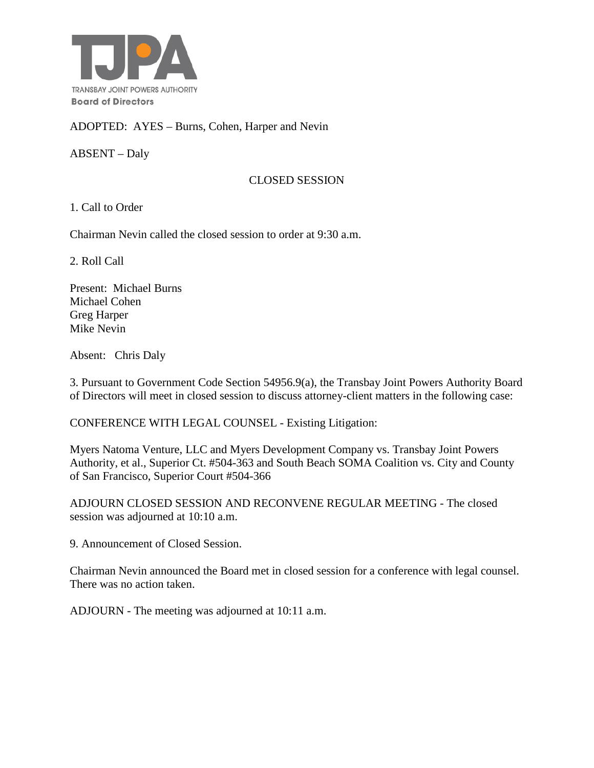

ADOPTED: AYES – Burns, Cohen, Harper and Nevin

ABSENT – Daly

#### CLOSED SESSION

1. Call to Order

Chairman Nevin called the closed session to order at 9:30 a.m.

2. Roll Call

Present: Michael Burns Michael Cohen Greg Harper Mike Nevin

Absent: Chris Daly

3. Pursuant to Government Code Section 54956.9(a), the Transbay Joint Powers Authority Board of Directors will meet in closed session to discuss attorney-client matters in the following case:

CONFERENCE WITH LEGAL COUNSEL - Existing Litigation:

Myers Natoma Venture, LLC and Myers Development Company vs. Transbay Joint Powers Authority, et al., Superior Ct. #504-363 and South Beach SOMA Coalition vs. City and County of San Francisco, Superior Court #504-366

ADJOURN CLOSED SESSION AND RECONVENE REGULAR MEETING - The closed session was adjourned at 10:10 a.m.

9. Announcement of Closed Session.

Chairman Nevin announced the Board met in closed session for a conference with legal counsel. There was no action taken.

ADJOURN - The meeting was adjourned at 10:11 a.m.